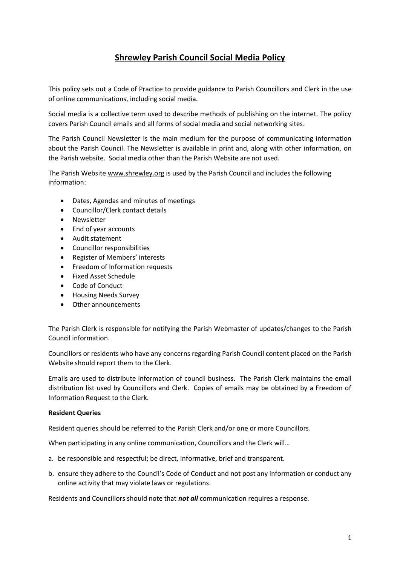## **Shrewley Parish Council Social Media Policy**

This policy sets out a Code of Practice to provide guidance to Parish Councillors and Clerk in the use of online communications, including social media.

Social media is a collective term used to describe methods of publishing on the internet. The policy covers Parish Council emails and all forms of social media and social networking sites.

The Parish Council Newsletter is the main medium for the purpose of communicating information about the Parish Council. The Newsletter is available in print and, along with other information, on the Parish website. Social media other than the Parish Website are not used.

The Parish Website [www.shrewley.org](http://www.shrewley.org/) is used by the Parish Council and includes the following information:

- Dates, Agendas and minutes of meetings
- Councillor/Clerk contact details
- Newsletter
- End of year accounts
- Audit statement
- Councillor responsibilities
- Register of Members' interests
- Freedom of Information requests
- Fixed Asset Schedule
- Code of Conduct
- Housing Needs Survey
- Other announcements

The Parish Clerk is responsible for notifying the Parish Webmaster of updates/changes to the Parish Council information.

Councillors or residents who have any concerns regarding Parish Council content placed on the Parish Website should report them to the Clerk.

Emails are used to distribute information of council business. The Parish Clerk maintains the email distribution list used by Councillors and Clerk. Copies of emails may be obtained by a Freedom of Information Request to the Clerk.

## **Resident Queries**

Resident queries should be referred to the Parish Clerk and/or one or more Councillors.

When participating in any online communication, Councillors and the Clerk will...

- a. be responsible and respectful; be direct, informative, brief and transparent.
- b. ensure they adhere to the Council's Code of Conduct and not post any information or conduct any online activity that may violate laws or regulations*.*

Residents and Councillors should note that *not all* communication requires a response.